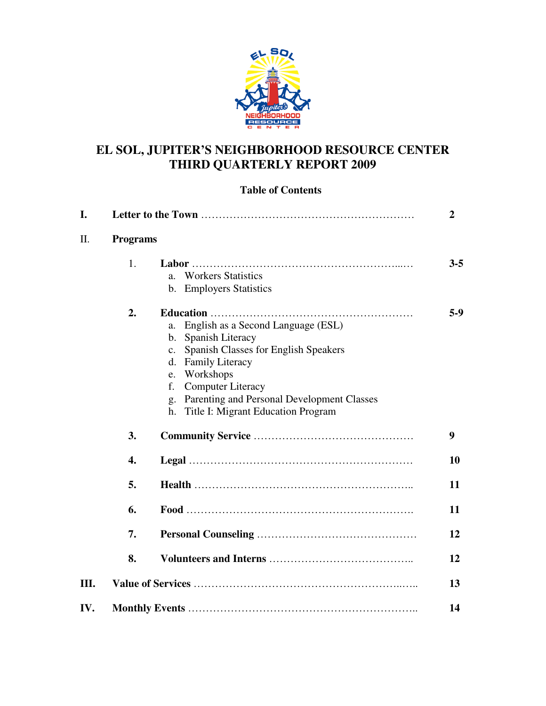

# **EL SOL, JUPITER'S NEIGHBORHOOD RESOURCE CENTER THIRD QUARTERLY REPORT 2009**

## **Table of Contents**

| I.  |                 |                                                                                                                                                                                                                                                                                                                               | $\boldsymbol{2}$ |
|-----|-----------------|-------------------------------------------------------------------------------------------------------------------------------------------------------------------------------------------------------------------------------------------------------------------------------------------------------------------------------|------------------|
| Π.  | <b>Programs</b> |                                                                                                                                                                                                                                                                                                                               |                  |
|     | 1.              | <b>Workers Statistics</b><br>a <sub>z</sub><br><b>Employers Statistics</b><br>$\mathbf{b}$ .                                                                                                                                                                                                                                  | $3 - 5$          |
|     | 2.              | English as a Second Language (ESL)<br>a.<br>Spanish Literacy<br>$\mathbf{b}$ .<br>Spanish Classes for English Speakers<br>$\mathbf{c}$ .<br><b>Family Literacy</b><br>d.<br>Workshops<br>e.<br>f.<br><b>Computer Literacy</b><br>Parenting and Personal Development Classes<br>g.<br>Title I: Migrant Education Program<br>h. | $5-9$            |
|     | 3.              |                                                                                                                                                                                                                                                                                                                               | 9                |
|     | 4.              |                                                                                                                                                                                                                                                                                                                               | 10               |
|     | 5.              |                                                                                                                                                                                                                                                                                                                               | 11               |
|     | 6.              |                                                                                                                                                                                                                                                                                                                               | 11               |
|     | 7.              |                                                                                                                                                                                                                                                                                                                               | 12               |
|     | 8.              |                                                                                                                                                                                                                                                                                                                               | 12               |
| Ш.  |                 |                                                                                                                                                                                                                                                                                                                               | 13               |
| IV. |                 |                                                                                                                                                                                                                                                                                                                               | 14               |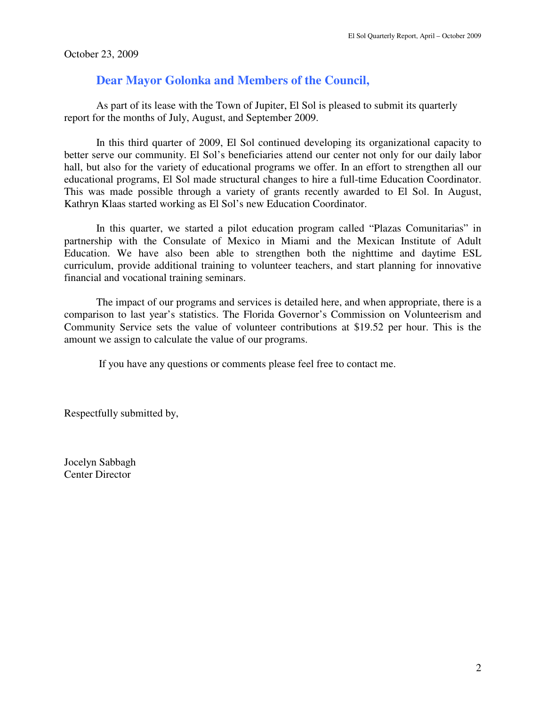October 23, 2009

# **Dear Mayor Golonka and Members of the Council,**

 As part of its lease with the Town of Jupiter, El Sol is pleased to submit its quarterly report for the months of July, August, and September 2009.

In this third quarter of 2009, El Sol continued developing its organizational capacity to better serve our community. El Sol's beneficiaries attend our center not only for our daily labor hall, but also for the variety of educational programs we offer. In an effort to strengthen all our educational programs, El Sol made structural changes to hire a full-time Education Coordinator. This was made possible through a variety of grants recently awarded to El Sol. In August, Kathryn Klaas started working as El Sol's new Education Coordinator.

In this quarter, we started a pilot education program called "Plazas Comunitarias" in partnership with the Consulate of Mexico in Miami and the Mexican Institute of Adult Education. We have also been able to strengthen both the nighttime and daytime ESL curriculum, provide additional training to volunteer teachers, and start planning for innovative financial and vocational training seminars.

The impact of our programs and services is detailed here, and when appropriate, there is a comparison to last year's statistics. The Florida Governor's Commission on Volunteerism and Community Service sets the value of volunteer contributions at \$19.52 per hour. This is the amount we assign to calculate the value of our programs.

If you have any questions or comments please feel free to contact me.

Respectfully submitted by,

Jocelyn Sabbagh Center Director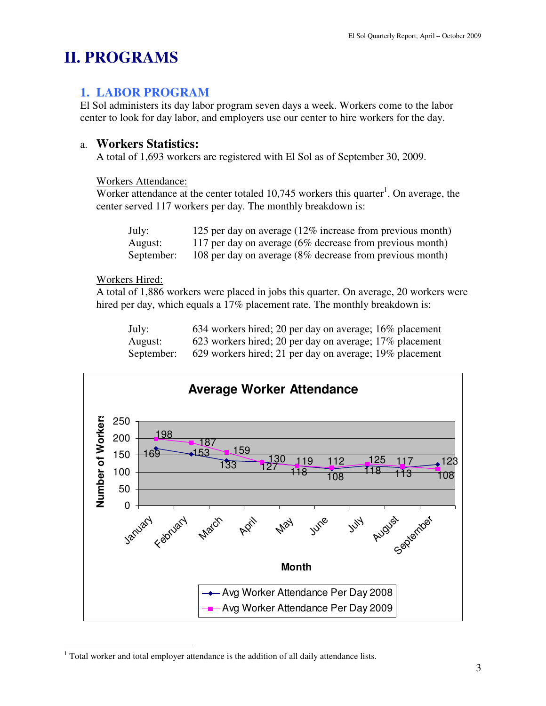# **II. PROGRAMS**

### **1. LABOR PROGRAM**

El Sol administers its day labor program seven days a week. Workers come to the labor center to look for day labor, and employers use our center to hire workers for the day.

### a. **Workers Statistics:**

A total of 1,693 workers are registered with El Sol as of September 30, 2009.

#### Workers Attendance:

Worker attendance at the center totaled  $10,745$  workers this quarter<sup>1</sup>. On average, the center served 117 workers per day. The monthly breakdown is:

| July:      | 125 per day on average $(12\%$ increase from previous month) |
|------------|--------------------------------------------------------------|
| August:    | 117 per day on average $(6\%$ decrease from previous month)  |
| September: | 108 per day on average (8% decrease from previous month)     |

#### Workers Hired:

 $\overline{a}$ 

A total of 1,886 workers were placed in jobs this quarter. On average, 20 workers were hired per day, which equals a 17% placement rate. The monthly breakdown is:

| July:      | 634 workers hired; 20 per day on average; 16% placement |
|------------|---------------------------------------------------------|
| August:    | 623 workers hired; 20 per day on average; 17% placement |
| September: | 629 workers hired; 21 per day on average; 19% placement |



 $1$  Total worker and total employer attendance is the addition of all daily attendance lists.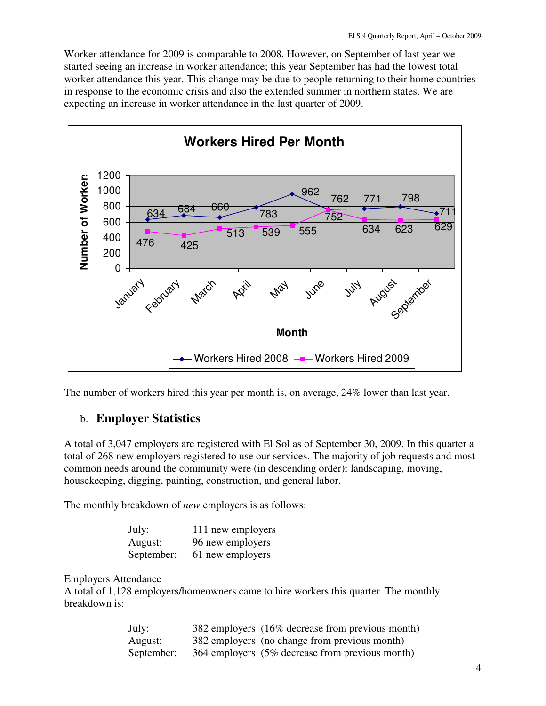Worker attendance for 2009 is comparable to 2008. However, on September of last year we started seeing an increase in worker attendance; this year September has had the lowest total worker attendance this year. This change may be due to people returning to their home countries in response to the economic crisis and also the extended summer in northern states. We are expecting an increase in worker attendance in the last quarter of 2009.



The number of workers hired this year per month is, on average, 24% lower than last year.

## b. **Employer Statistics**

A total of 3,047 employers are registered with El Sol as of September 30, 2009. In this quarter a total of 268 new employers registered to use our services. The majority of job requests and most common needs around the community were (in descending order): landscaping, moving, housekeeping, digging, painting, construction, and general labor.

The monthly breakdown of *new* employers is as follows:

| July:      | 111 new employers |
|------------|-------------------|
| August:    | 96 new employers  |
| September: | 61 new employers  |

Employers Attendance

A total of 1,128 employers/homeowners came to hire workers this quarter. The monthly breakdown is:

| July:      | 382 employers (16% decrease from previous month) |
|------------|--------------------------------------------------|
| August:    | 382 employers (no change from previous month)    |
| September: | 364 employers (5% decrease from previous month)  |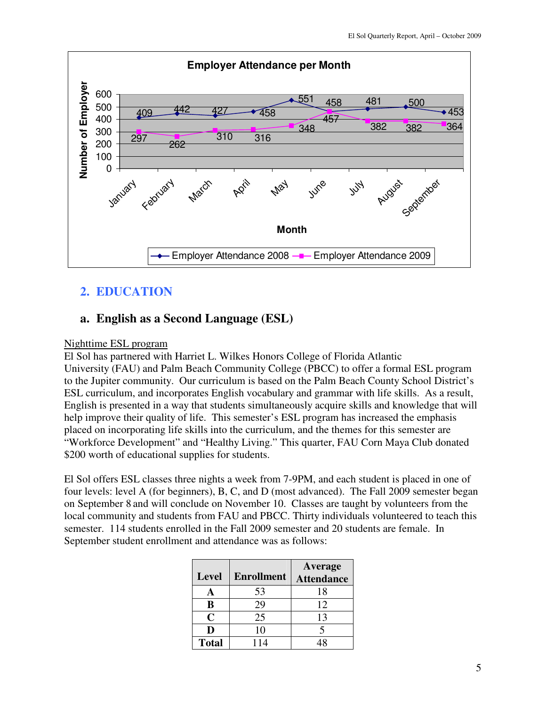

# **2. EDUCATION**

### **a. English as a Second Language (ESL)**

#### Nighttime ESL program

El Sol has partnered with Harriet L. Wilkes Honors College of Florida Atlantic University (FAU) and Palm Beach Community College (PBCC) to offer a formal ESL program to the Jupiter community. Our curriculum is based on the Palm Beach County School District's ESL curriculum, and incorporates English vocabulary and grammar with life skills. As a result, English is presented in a way that students simultaneously acquire skills and knowledge that will help improve their quality of life. This semester's ESL program has increased the emphasis placed on incorporating life skills into the curriculum, and the themes for this semester are "Workforce Development" and "Healthy Living." This quarter, FAU Corn Maya Club donated \$200 worth of educational supplies for students.

El Sol offers ESL classes three nights a week from 7-9PM, and each student is placed in one of four levels: level A (for beginners), B, C, and D (most advanced). The Fall 2009 semester began on September 8 and will conclude on November 10. Classes are taught by volunteers from the local community and students from FAU and PBCC. Thirty individuals volunteered to teach this semester. 114 students enrolled in the Fall 2009 semester and 20 students are female. In September student enrollment and attendance was as follows:

| <b>Level</b> | <b>Enrollment</b> | <b>Average</b><br><b>Attendance</b> |
|--------------|-------------------|-------------------------------------|
|              | 53                | 18                                  |
| B            | 29                | 12                                  |
| C            | 25                | 13                                  |
| D            | 10                |                                     |
| <b>Total</b> | 114               |                                     |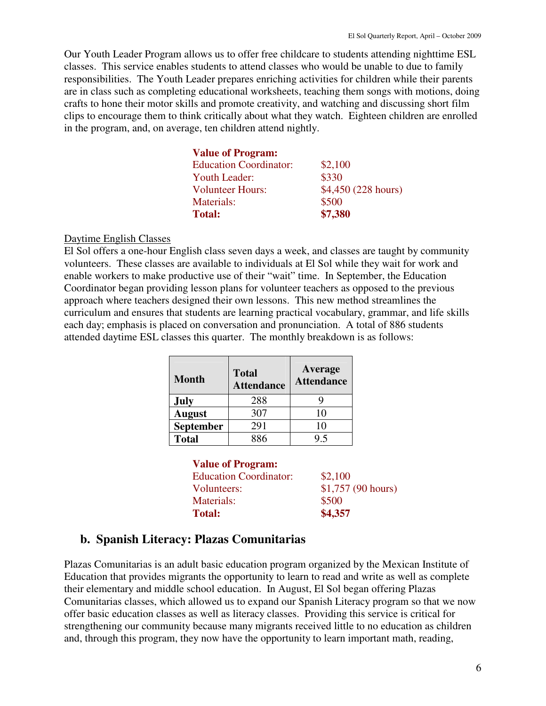Our Youth Leader Program allows us to offer free childcare to students attending nighttime ESL classes. This service enables students to attend classes who would be unable to due to family responsibilities. The Youth Leader prepares enriching activities for children while their parents are in class such as completing educational worksheets, teaching them songs with motions, doing crafts to hone their motor skills and promote creativity, and watching and discussing short film clips to encourage them to think critically about what they watch. Eighteen children are enrolled in the program, and, on average, ten children attend nightly.

| <b>Value of Program:</b>      |                     |
|-------------------------------|---------------------|
| <b>Education Coordinator:</b> | \$2,100             |
| <b>Youth Leader:</b>          | \$330               |
| <b>Volunteer Hours:</b>       | \$4,450 (228 hours) |
| Materials:                    | \$500               |
| <b>Total:</b>                 | \$7,380             |

#### Daytime English Classes

El Sol offers a one-hour English class seven days a week, and classes are taught by community volunteers. These classes are available to individuals at El Sol while they wait for work and enable workers to make productive use of their "wait" time. In September, the Education Coordinator began providing lesson plans for volunteer teachers as opposed to the previous approach where teachers designed their own lessons. This new method streamlines the curriculum and ensures that students are learning practical vocabulary, grammar, and life skills each day; emphasis is placed on conversation and pronunciation. A total of 886 students attended daytime ESL classes this quarter. The monthly breakdown is as follows:

| <b>Month</b>  | <b>Total</b><br><b>Attendance</b> | Average<br><b>Attendance</b> |
|---------------|-----------------------------------|------------------------------|
| <b>July</b>   | 288                               |                              |
| <b>August</b> | 307                               | 10                           |
| September     | 291                               | 10                           |
| <b>Total</b>  | 886                               | 95                           |

| <b>Value of Program:</b>      |                    |
|-------------------------------|--------------------|
| <b>Education Coordinator:</b> | \$2,100            |
| Volunteers:                   | \$1,757 (90 hours) |
| <b>Materials:</b>             | \$500              |
| <b>Total:</b>                 | \$4,357            |

### **b. Spanish Literacy: Plazas Comunitarias**

Plazas Comunitarias is an adult basic education program organized by the Mexican Institute of Education that provides migrants the opportunity to learn to read and write as well as complete their elementary and middle school education. In August, El Sol began offering Plazas Comunitarias classes, which allowed us to expand our Spanish Literacy program so that we now offer basic education classes as well as literacy classes. Providing this service is critical for strengthening our community because many migrants received little to no education as children and, through this program, they now have the opportunity to learn important math, reading,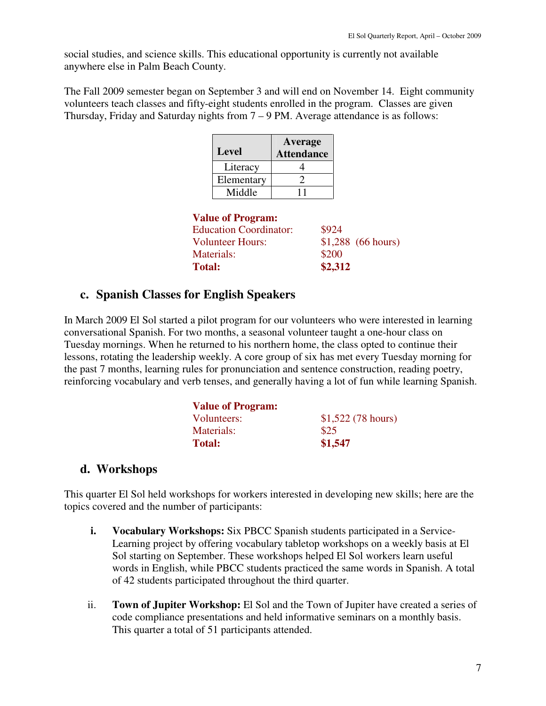social studies, and science skills. This educational opportunity is currently not available anywhere else in Palm Beach County.

The Fall 2009 semester began on September 3 and will end on November 14. Eight community volunteers teach classes and fifty-eight students enrolled in the program. Classes are given Thursday, Friday and Saturday nights from 7 – 9 PM. Average attendance is as follows:

| <b>Level</b> | Average<br><b>Attendance</b> |
|--------------|------------------------------|
| Literacy     |                              |
| Elementary   |                              |
| Middle       |                              |

#### **Value of Program:**

| \$924   |                     |
|---------|---------------------|
|         | $$1,288$ (66 hours) |
| \$200   |                     |
| \$2,312 |                     |
|         |                     |

### **c. Spanish Classes for English Speakers**

In March 2009 El Sol started a pilot program for our volunteers who were interested in learning conversational Spanish. For two months, a seasonal volunteer taught a one-hour class on Tuesday mornings. When he returned to his northern home, the class opted to continue their lessons, rotating the leadership weekly. A core group of six has met every Tuesday morning for the past 7 months, learning rules for pronunciation and sentence construction, reading poetry, reinforcing vocabulary and verb tenses, and generally having a lot of fun while learning Spanish.

| <b>Value of Program:</b> |                   |
|--------------------------|-------------------|
| Volunteers:              | \$1,522(78 hours) |
| Materials:               | \$25              |
| <b>Total:</b>            | \$1,547           |

### **d. Workshops**

This quarter El Sol held workshops for workers interested in developing new skills; here are the topics covered and the number of participants:

- **i.** Vocabulary Workshops: Six PBCC Spanish students participated in a Service-Learning project by offering vocabulary tabletop workshops on a weekly basis at El Sol starting on September. These workshops helped El Sol workers learn useful words in English, while PBCC students practiced the same words in Spanish. A total of 42 students participated throughout the third quarter.
- ii. **Town of Jupiter Workshop:** El Sol and the Town of Jupiter have created a series of code compliance presentations and held informative seminars on a monthly basis. This quarter a total of 51 participants attended.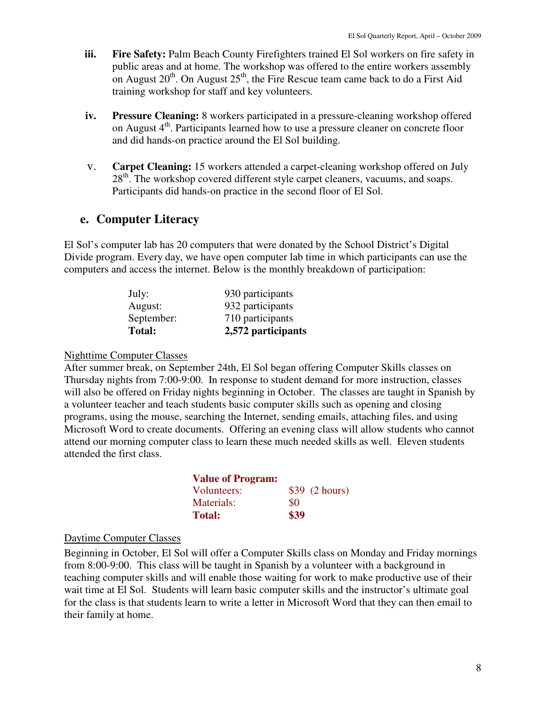- **iii. Fire Safety:** Palm Beach County Firefighters trained El Sol workers on fire safety in public areas and at home. The workshop was offered to the entire workers assembly on August  $20^{th}$ . On August  $25^{th}$ , the Fire Rescue team came back to do a First Aid training workshop for staff and key volunteers.
- **iv. Pressure Cleaning:** 8 workers participated in a pressure-cleaning workshop offered on August  $4<sup>th</sup>$ . Participants learned how to use a pressure cleaner on concrete floor and did hands-on practice around the El Sol building.
- v. **Carpet Cleaning:** 15 workers attended a carpet-cleaning workshop offered on July  $28<sup>th</sup>$ . The workshop covered different style carpet cleaners, vacuums, and soaps. Participants did hands-on practice in the second floor of El Sol.

# **e. Computer Literacy**

El Sol's computer lab has 20 computers that were donated by the School District's Digital Divide program. Every day, we have open computer lab time in which participants can use the computers and access the internet. Below is the monthly breakdown of participation:

| July:      | 930 participants   |
|------------|--------------------|
| August:    | 932 participants   |
| September: | 710 participants   |
| Total:     | 2,572 participants |

#### Nighttime Computer Classes

After summer break, on September 24th, El Sol began offering Computer Skills classes on Thursday nights from 7:00-9:00. In response to student demand for more instruction, classes will also be offered on Friday nights beginning in October. The classes are taught in Spanish by a volunteer teacher and teach students basic computer skills such as opening and closing programs, using the mouse, searching the Internet, sending emails, attaching files, and using Microsoft Word to create documents. Offering an evening class will allow students who cannot attend our morning computer class to learn these much needed skills as well. Eleven students attended the first class.

| <b>Value of Program:</b> |      |                 |
|--------------------------|------|-----------------|
| Volunteers:              |      | $$39$ (2 hours) |
| Materials:               | \$0  |                 |
| <b>Total:</b>            | \$39 |                 |

#### Daytime Computer Classes

Beginning in October, El Sol will offer a Computer Skills class on Monday and Friday mornings from 8:00-9:00. This class will be taught in Spanish by a volunteer with a background in teaching computer skills and will enable those waiting for work to make productive use of their wait time at El Sol. Students will learn basic computer skills and the instructor's ultimate goal for the class is that students learn to write a letter in Microsoft Word that they can then email to their family at home.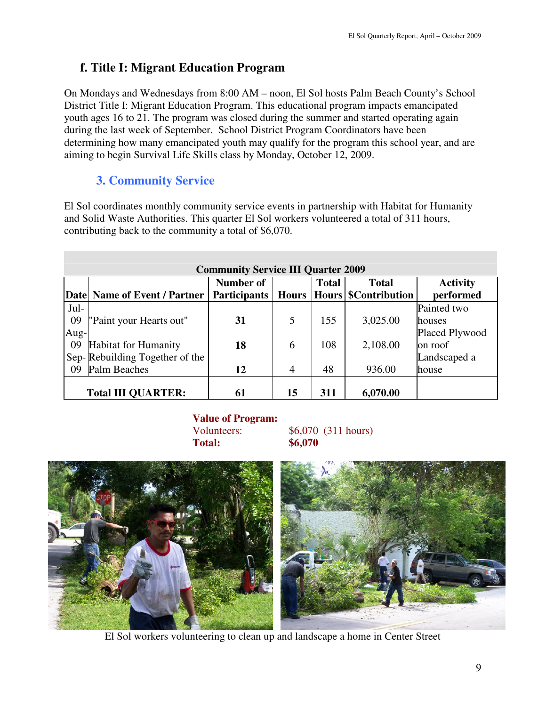# **f. Title I: Migrant Education Program**

On Mondays and Wednesdays from 8:00 AM – noon, El Sol hosts Palm Beach County's School District Title I: Migrant Education Program. This educational program impacts emancipated youth ages 16 to 21. The program was closed during the summer and started operating again during the last week of September. School District Program Coordinators have been determining how many emancipated youth may qualify for the program this school year, and are aiming to begin Survival Life Skills class by Monday, October 12, 2009.

# **3. Community Service**

El Sol coordinates monthly community service events in partnership with Habitat for Humanity and Solid Waste Authorities. This quarter El Sol workers volunteered a total of 311 hours, contributing back to the community a total of \$6,070.

|      | <b>Community Service III Quarter 2009</b> |                     |              |              |                     |                 |
|------|-------------------------------------------|---------------------|--------------|--------------|---------------------|-----------------|
|      |                                           | Number of           |              | <b>Total</b> | <b>Total</b>        | <b>Activity</b> |
|      | Date Name of Event / Partner              | <b>Participants</b> | <b>Hours</b> |              | Hours SContribution | performed       |
| Jul- |                                           |                     |              |              |                     | Painted two     |
| 09   | "Paint your Hearts out"                   | 31                  | 5            | 155          | 3,025.00            | houses          |
| Aug- |                                           |                     |              |              |                     | Placed Plywood  |
| 09   | Habitat for Humanity                      | 18                  | 6            | 108          | 2,108.00            | on roof         |
|      | Sep-Rebuilding Together of the            |                     |              |              |                     | Landscaped a    |
| 09   | Palm Beaches                              | 12                  | 4            | 48           | 936.00              | house           |
|      |                                           |                     |              |              |                     |                 |
|      | <b>Total III QUARTER:</b>                 | 61                  | 15           | 311          | 6,070.00            |                 |

### **Value of Program:**  Volunteers:  $$6,070$  (311 hours) **Total: \$6,070**



El Sol workers volunteering to clean up and landscape a home in Center Street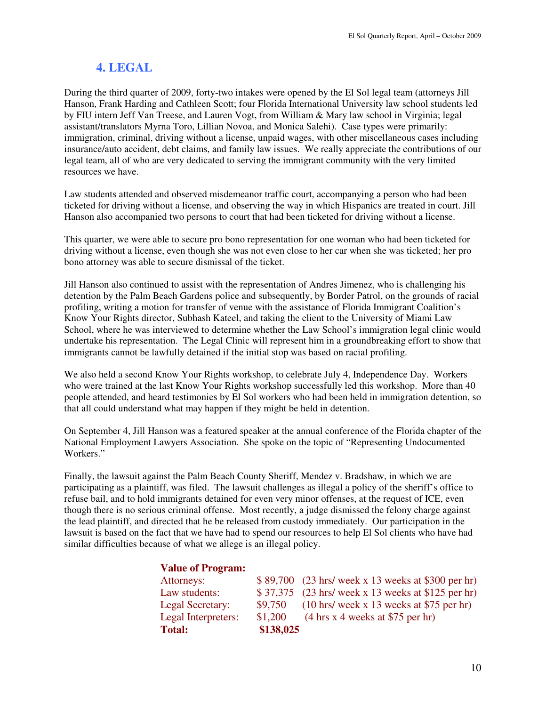# **4. LEGAL**

During the third quarter of 2009, forty-two intakes were opened by the El Sol legal team (attorneys Jill Hanson, Frank Harding and Cathleen Scott; four Florida International University law school students led by FIU intern Jeff Van Treese, and Lauren Vogt, from William & Mary law school in Virginia; legal assistant/translators Myrna Toro, Lillian Novoa, and Monica Salehi). Case types were primarily: immigration, criminal, driving without a license, unpaid wages, with other miscellaneous cases including insurance/auto accident, debt claims, and family law issues. We really appreciate the contributions of our legal team, all of who are very dedicated to serving the immigrant community with the very limited resources we have.

Law students attended and observed misdemeanor traffic court, accompanying a person who had been ticketed for driving without a license, and observing the way in which Hispanics are treated in court. Jill Hanson also accompanied two persons to court that had been ticketed for driving without a license.

This quarter, we were able to secure pro bono representation for one woman who had been ticketed for driving without a license, even though she was not even close to her car when she was ticketed; her pro bono attorney was able to secure dismissal of the ticket.

Jill Hanson also continued to assist with the representation of Andres Jimenez, who is challenging his detention by the Palm Beach Gardens police and subsequently, by Border Patrol, on the grounds of racial profiling, writing a motion for transfer of venue with the assistance of Florida Immigrant Coalition's Know Your Rights director, Subhash Kateel, and taking the client to the University of Miami Law School, where he was interviewed to determine whether the Law School's immigration legal clinic would undertake his representation. The Legal Clinic will represent him in a groundbreaking effort to show that immigrants cannot be lawfully detained if the initial stop was based on racial profiling.

We also held a second Know Your Rights workshop, to celebrate July 4, Independence Day. Workers who were trained at the last Know Your Rights workshop successfully led this workshop. More than 40 people attended, and heard testimonies by El Sol workers who had been held in immigration detention, so that all could understand what may happen if they might be held in detention.

On September 4, Jill Hanson was a featured speaker at the annual conference of the Florida chapter of the National Employment Lawyers Association. She spoke on the topic of "Representing Undocumented Workers."

Finally, the lawsuit against the Palm Beach County Sheriff, Mendez v. Bradshaw, in which we are participating as a plaintiff, was filed. The lawsuit challenges as illegal a policy of the sheriff's office to refuse bail, and to hold immigrants detained for even very minor offenses, at the request of ICE, even though there is no serious criminal offense. Most recently, a judge dismissed the felony charge against the lead plaintiff, and directed that he be released from custody immediately. Our participation in the lawsuit is based on the fact that we have had to spend our resources to help El Sol clients who have had similar difficulties because of what we allege is an illegal policy.

### **Value of Program:**

| <b>Total:</b>       | \$138,025 |                                                                                             |
|---------------------|-----------|---------------------------------------------------------------------------------------------|
| Legal Interpreters: | \$1,200   | $(4 \text{ hrs} \times 4 \text{ weeks} \text{ at } $75 \text{ per hr})$                     |
| Legal Secretary:    | \$9,750   | $(10 \text{ hrs}/ \text{ week} \text{ x } 13 \text{ weeks} \text{ at } $75 \text{ per hr})$ |
| Law students:       |           | \$37,375 (23 hrs/ week x 13 weeks at \$125 per hr)                                          |
| Attorneys:          |           | \$89,700 (23 hrs/ week x 13 weeks at \$300 per hr)                                          |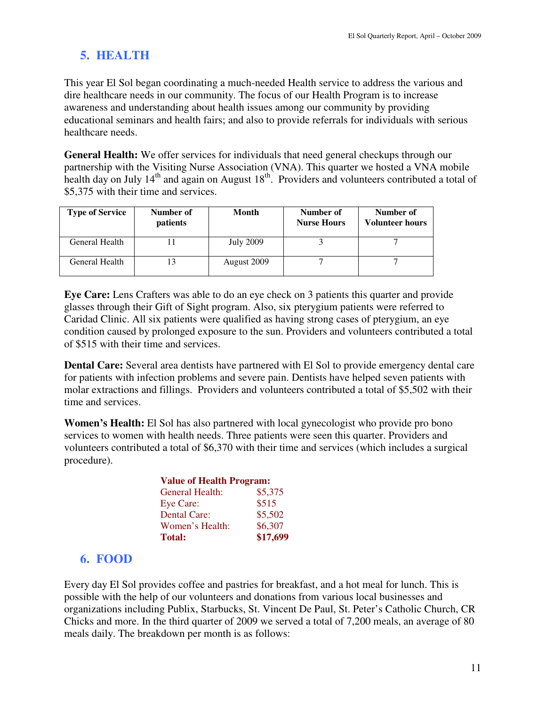# **5. HEALTH**

This year El Sol began coordinating a much-needed Health service to address the various and dire healthcare needs in our community. The focus of our Health Program is to increase awareness and understanding about health issues among our community by providing educational seminars and health fairs; and also to provide referrals for individuals with serious healthcare needs.

**General Health:** We offer services for individuals that need general checkups through our partnership with the Visiting Nurse Association (VNA). This quarter we hosted a VNA mobile health day on July  $14<sup>th</sup>$  and again on August  $18<sup>th</sup>$ . Providers and volunteers contributed a total of \$5,375 with their time and services.

| <b>Type of Service</b> | Number of<br><i>patients</i> | Month            | Number of<br><b>Nurse Hours</b> | Number of<br><b>Volunteer hours</b> |
|------------------------|------------------------------|------------------|---------------------------------|-------------------------------------|
| General Health         |                              | <b>July 2009</b> |                                 |                                     |
| General Health         | 13                           | August 2009      |                                 |                                     |

**Eye Care:** Lens Crafters was able to do an eye check on 3 patients this quarter and provide glasses through their Gift of Sight program. Also, six pterygium patients were referred to Caridad Clinic. All six patients were qualified as having strong cases of pterygium, an eye condition caused by prolonged exposure to the sun. Providers and volunteers contributed a total of \$515 with their time and services.

**Dental Care:** Several area dentists have partnered with El Sol to provide emergency dental care for patients with infection problems and severe pain. Dentists have helped seven patients with molar extractions and fillings.Providers and volunteers contributed a total of \$5,502 with their time and services.

**Women's Health:** El Sol has also partnered with local gynecologist who provide pro bono services to women with health needs. Three patients were seen this quarter. Providers and volunteers contributed a total of \$6,370 with their time and services (which includes a surgical procedure).

|                 | <b>Value of Health Program:</b> |  |  |
|-----------------|---------------------------------|--|--|
| General Health: | \$5,375                         |  |  |
| Eye Care:       | \$515                           |  |  |
| Dental Care:    | \$5,502                         |  |  |
| Women's Health: | \$6,307                         |  |  |
| <b>Total:</b>   | \$17,699                        |  |  |

# **6. FOOD**

Every day El Sol provides coffee and pastries for breakfast, and a hot meal for lunch. This is possible with the help of our volunteers and donations from various local businesses and organizations including Publix, Starbucks, St. Vincent De Paul, St. Peter's Catholic Church, CR Chicks and more. In the third quarter of 2009 we served a total of 7,200 meals, an average of 80 meals daily. The breakdown per month is as follows: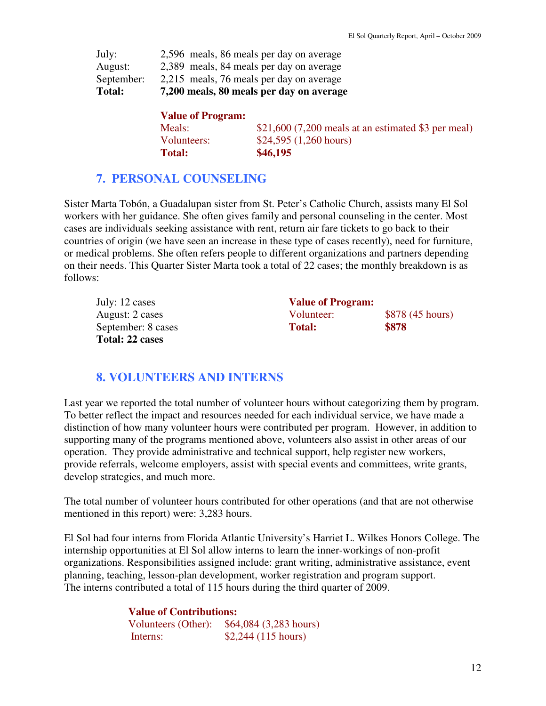| Total:     | 7,200 meals, 80 meals per day on average |
|------------|------------------------------------------|
| September: | 2,215 meals, 76 meals per day on average |
| August:    | 2,389 meals, 84 meals per day on average |
| July:      | 2,596 meals, 86 meals per day on average |

| <b>Value of Program:</b> |                                                      |
|--------------------------|------------------------------------------------------|
| Meals:                   | $$21,600$ (7,200 meals at an estimated \$3 per meal) |
| Volunteers:              | \$24,595 (1,260 hours)                               |
| <b>Total:</b>            | \$46,195                                             |

# **7. PERSONAL COUNSELING**

Sister Marta Tobón, a Guadalupan sister from St. Peter's Catholic Church, assists many El Sol workers with her guidance. She often gives family and personal counseling in the center. Most cases are individuals seeking assistance with rent, return air fare tickets to go back to their countries of origin (we have seen an increase in these type of cases recently), need for furniture, or medical problems. She often refers people to different organizations and partners depending on their needs. This Quarter Sister Marta took a total of 22 cases; the monthly breakdown is as follows:

| July: 12 cases     | <b>Value of Program:</b> |                  |
|--------------------|--------------------------|------------------|
| August: 2 cases    | Volunteer:               | \$878 (45 hours) |
| September: 8 cases | <b>Total:</b>            | \$878            |
| Total: 22 cases    |                          |                  |

# **8. VOLUNTEERS AND INTERNS**

Last year we reported the total number of volunteer hours without categorizing them by program. To better reflect the impact and resources needed for each individual service, we have made a distinction of how many volunteer hours were contributed per program. However, in addition to supporting many of the programs mentioned above, volunteers also assist in other areas of our operation. They provide administrative and technical support, help register new workers, provide referrals, welcome employers, assist with special events and committees, write grants, develop strategies, and much more.

The total number of volunteer hours contributed for other operations (and that are not otherwise mentioned in this report) were: 3,283 hours.

El Sol had four interns from Florida Atlantic University's Harriet L. Wilkes Honors College. The internship opportunities at El Sol allow interns to learn the inner-workings of non-profit organizations. Responsibilities assigned include: grant writing, administrative assistance, event planning, teaching, lesson-plan development, worker registration and program support. The interns contributed a total of 115 hours during the third quarter of 2009.

> **Value of Contributions:**  Volunteers (Other): \$64,084 (3,283 hours) **Interns:** \$2,244 (115 hours)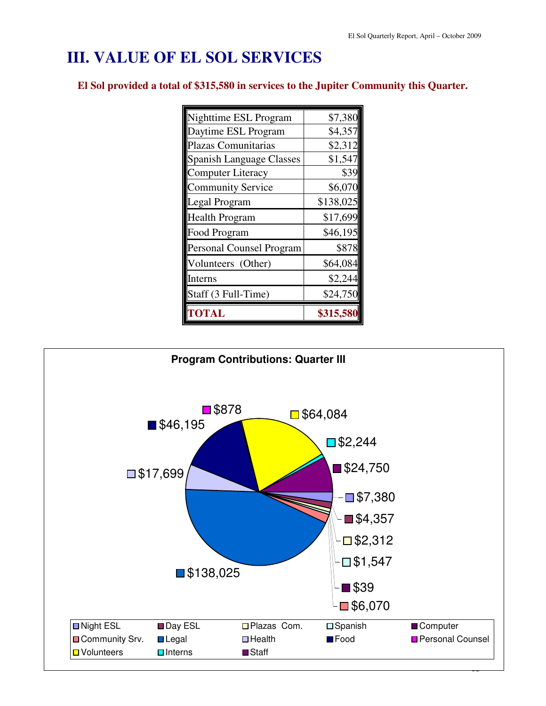# **III. VALUE OF EL SOL SERVICES**

**El Sol provided a total of \$315,580 in services to the Jupiter Community this Quarter.**

| <b><i>FOTAL</i></b>             | \$315,580 |
|---------------------------------|-----------|
| Staff (3 Full-Time)             | \$24,750  |
| Interns                         | \$2,244   |
| Volunteers (Other)              | \$64,084  |
| <b>Personal Counsel Program</b> | \$878     |
| Food Program                    | \$46,195  |
| <b>Health Program</b>           | \$17,699  |
| Legal Program                   | \$138,025 |
| <b>Community Service</b>        | \$6,070   |
| <b>Computer Literacy</b>        | \$39      |
| <b>Spanish Language Classes</b> | \$1,547   |
| Plazas Comunitarias             | \$2,312   |
| Daytime ESL Program             | \$4,357   |
| Nighttime ESL Program           | \$7,380   |